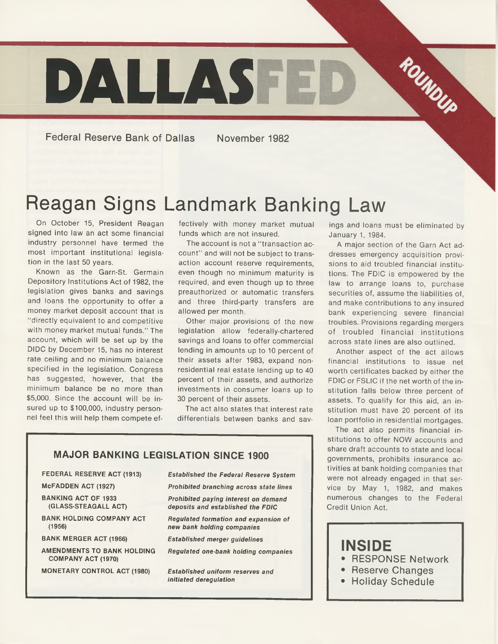

**Federal Reserve Bank of Dallas** 

November 1982

## Reagan Signs Landmark Banking Law

On October 15, President Reagan signed into law an act some financial industry personnel have termed the most important institutional legislation in the last 50 years.

Known as the Garn-St. Germain Depository Institutions Act of 1982, the legislation gives banks and savings and loans the opportunity to offer a money market deposit account that is " directly equivalent to and competitive with money market mutual funds." The account, which will be set up by the DIDC by December 15, has no interest rate ceiling and no minimum balance specified in the legislation. Congress has suggested, however, that the minimum balance be no more than \$5,000. Since the account will be insured up to \$100,000, industry personnel feel this will help them compete ef-

fectively with money market mutual funds which are not insured.

The account is not a "transaction account" and will not be subject to transaction account reserve requirements, even though no minimum maturity is required, and even though up to three preauthorized or automatic transfers and three third-party transfers are allowed per month.

Other major provisions of the new legislation allow federally-chartered savings and loans to offer commercial lending in amounts up to 10 percent of their assets after 1983, expand nonresidential real estate lending up to 40 percent of their assets, and authorize investments in consumer loans up to 30 percent of their assets.

The act also states that interest rate differentials between banks and savings and loans must be eliminated by January 1, 1984.

A major section of the Garn Act addresses emergency acquisition provisions to aid troubled financial institutions. The FDIC is empowered by the law to arrange loans to, purchase securities of, assume the liabilities of, and make contributions to any insured bank experiencing severe financial troubles. Provisions regarding mergers of troubled financial institutions across state lines are also outlined.

Another aspect of the act allows financial institutions to issue net worth certificates backed by either the FDIC or FSLIC if the net worth of the institution falls below three percent of assets. To qualify for this aid, an institution must have 20 percent of its loan portfolio in residential mortgages.

The act also permits financial institutions to offer NOW accounts and share draft accounts to state and local governments, prohibits insurance activities at bank holding companies that were not already engaged in that service by May 1, 1982, and makes numerous changes to the Federal Credit Union Act.

### **INSIDE**

- RESPONSE Network
- Reserve Changes
- Holiday Schedule

#### **MAJOR BANKING LEGISLATION SINCE 1900**

#### **FEDERAL RESERVE ACT (1913)**

**McFADDEN ACT (1927)**

**BANKING ACT OF 1933 (GLASS-STEAGALL ACT)**

**BANK HOLDING COMPANY ACT (1956)**

**BANK MERGER ACT (1966)**

**AMENDMENTS TO BANK HOLDING COMPANY ACT (1970)**

**MONETARY CONTROL ACT (1980)**

*Established the Federal Reserve System Prohibited branching across state lines*

*Prohibited paying interest on demand deposits and established the FDIC*

*Regulated formation and expansion of new bank holding companies*

*Established merger guidelines*

*Regulated one-bank holding companies*

*Established uniform reserves and initiated deregulation*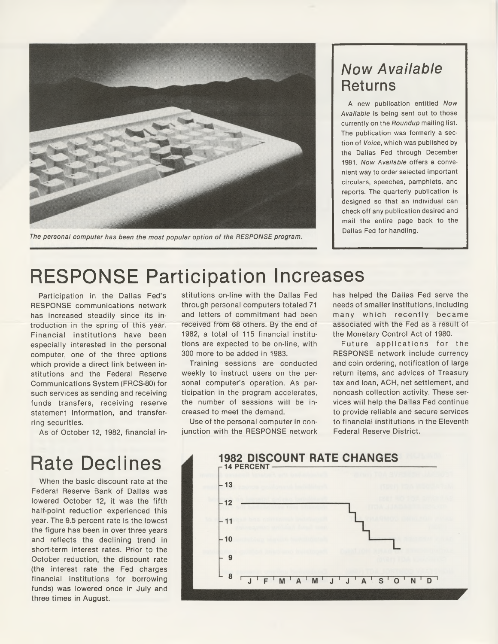

The personal computer has been the most popular option of the RESPONSE program.

### *Now Available* Returns

A new publication entitled *Now Available* is being sent out to those currently on the *Roundup* mailing list. The publication was formerly a section of *Voice*, which was published by the Dallas Fed through December 1981. *Now Available* offers a convenient way to order selected important circulars, speeches, pamphlets, and reports. The quarterly publication is designed so that an individual can check off any publication desired and mail the entire page back to the Dallas Fed for handling.

## RESPONSE Participation Increases

Participation in the Dallas Fed's RESPONSE communications network has increased steadily since its introduction in the spring of this year. Financial institutions have been especially interested in the personal computer, one of the three options which provide a direct link between institutions and the Federal Reserve Communications System (FRCS-80) for such services as sending and receiving funds transfers, receiving reserve statement information, and transferring securities.

As of October 12, 1982, financial in-

# Rate Declines

When the basic discount rate at the Federal Reserve Bank of Dallas was lowered October 12, it was the fifth half-point reduction experienced this year. The 9.5 percent rate is the lowest the figure has been in over three years and reflects the declining trend in short-term interest rates. Prior to the October reduction, the discount rate (the interest rate the Fed charges financial institutions for borrowing funds) was lowered once in July and three times in August.

stitutions on-line with the Dallas Fed through personal computers totaled 71 and letters of commitment had been received from 68 others. By the end of 1982, a total of 115 financial institutions are expected to be on-line, with 300 more to be added in 1983.

Training sessions are conducted weekly to instruct users on the personal computer's operation. As participation in the program accelerates, the number of sessions will be increased to meet the demand.

Use of the personal computer in conjunction with the RESPONSE network has helped the Dallas Fed serve the needs of smaller institutions, including many which recently became associated with the Fed as a result of the Monetary Control Act of 1980.

Future applications for the RESPONSE network include currency and coin ordering, notification of large return items, and advices of Treasury tax and loan, ACH, net settlement, and noncash collection activity. These services will help the Dallas Fed continue to provide reliable and secure services to financial institutions in the Eleventh Federal Reserve District.

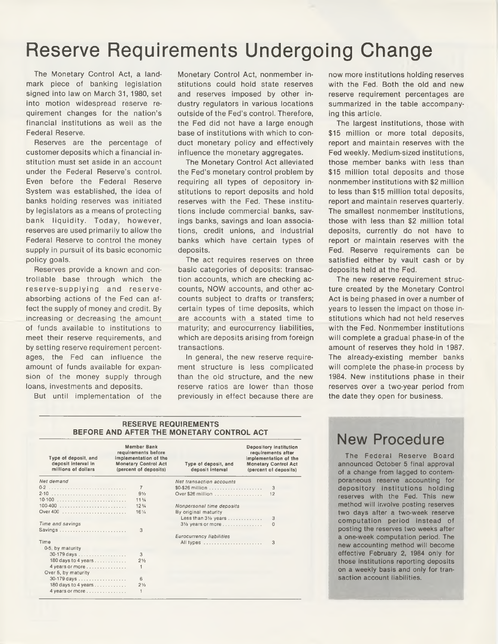### Reserve Requirements Undergoing Change

The Monetary Control Act, a landmark piece of banking legislation signed into law on March 31, 1980, set into motion widespread reserve requirement changes for the nation's financial institutions as well as the Federal Reserve.

Reserves are the percentage of customer deposits which a financial institution must set aside in an account under the Federal Reserve's control. Even before the Federal Reserve System was established, the idea of banks holding reserves was initiated by legislators as a means of protecting bank liquidity. Today, however, reserves are used primarily to allow the Federal Reserve to control the money supply in pursuit of its basic economic policy goals.

Reserves provide a known and controllable base through which the reserve-supplying and reserveabsorbing actions of the Fed can affect the supply of money and credit. By increasing or decreasing the amount of funds available to institutions to meet their reserve requirements, and by setting reserve requirement percentages, the Fed can influence the amount of funds available for expansion of the money supply through loans, investments and deposits.

But until implementation of the

Monetary Control Act, nonmember institutions could hold state reserves and reserves imposed by other industry regulators in various locations outside of the Fed's control. Therefore, the Fed did not have a large enough base of institutions with which to conduct monetary policy and effectively influence the monetary aggregates.

The Monetary Control Act alleviated the Fed's monetary control problem by requiring all types of depository institutions to report deposits and hold reserves with the Fed. These institutions include commercial banks, savings banks, savings and loan associations, credit unions, and industrial banks which have certain types of deposits.

The act requires reserves on three basic categories of deposits: transaction accounts, which are checking accounts, NOW accounts, and other accounts subject to drafts or transfers; certain types of time deposits, which are accounts with a stated time to maturity; and eurocurrency liabilities, which are deposits arising from foreign transactions.

In general, the new reserve requirement structure is less complicated than the old structure, and the new reserve ratios are lower than those previously in effect because there are now more institutions holding reserves with the Fed. Both the old and new reserve requirement percentages are summarized in the table accompanying this article.

The largest institutions, those with \$15 million or more total deposits, report and maintain reserves with the Fed weekly. Medium-sized institutions, those member banks with less than \$15 million total deposits and those nonmember institutions with \$2 million to less than \$15 million total deposits, report and maintain reserves quarterly. The smallest nonmember institutions, those with less than \$2 million total deposits, currently do not have to report or maintain reserves with the Fed. Reserve requirements can be satisfied either by vault cash or by deposits held at the Fed.

The new reserve requirement structure created by the Monetary Control Act is being phased in over a number of years to lessen the impact on those institutions which had not held reserves with the Fed. Nonmember institutions will complete a gradual phase-in of the amount of reserves they hold in 1987. The already-existing member banks will complete the phase-in process by 1984. New institutions phase in their reserves over a two-year period from the date they open for business.

#### **RESERVE REQUIREMENTS BEFORE AND AFTER THE MONETARY CONTROL ACT**

| Type of deposit, and<br>deposit interval in<br>millions of dollars | <b>Member Bank</b><br>requirements before<br>implementation of the<br><b>Monetary Control Act</b><br>(percent of deposits) | Type of deposit, and<br>deposit interval     | Depository institution<br>requirements after<br>implementation of the<br><b>Monetary Control Act</b><br>(percent of deposits) |
|--------------------------------------------------------------------|----------------------------------------------------------------------------------------------------------------------------|----------------------------------------------|-------------------------------------------------------------------------------------------------------------------------------|
| Net demand                                                         |                                                                                                                            | Net transaction accounts                     |                                                                                                                               |
|                                                                    | 7                                                                                                                          | $$0-$26$ million                             | 3                                                                                                                             |
|                                                                    | 9 <sub>2</sub>                                                                                                             | Over \$26 million                            | 12                                                                                                                            |
|                                                                    | 11 <sup>3</sup> / <sub>4</sub>                                                                                             |                                              |                                                                                                                               |
|                                                                    | 12 <sup>3</sup> / <sub>4</sub>                                                                                             | Nonpersonal time deposits                    |                                                                                                                               |
|                                                                    | $16\%$                                                                                                                     | By original maturity<br>Less than 31/2 years | 3                                                                                                                             |
| Time and savings                                                   |                                                                                                                            | $3\frac{1}{2}$ years or more                 | 0                                                                                                                             |
|                                                                    | 3                                                                                                                          |                                              |                                                                                                                               |
| Time                                                               |                                                                                                                            | <b>Eurocurrency liabilities</b>              |                                                                                                                               |
| 0-5, by maturity                                                   |                                                                                                                            | All types                                    | 3                                                                                                                             |
| 30-179 days                                                        | 3                                                                                                                          |                                              |                                                                                                                               |
| 180 days to 4 years                                                | $2\frac{1}{2}$                                                                                                             |                                              |                                                                                                                               |
| 4 years or more<br>Over 5, by maturity                             |                                                                                                                            |                                              |                                                                                                                               |
| 30-179 days                                                        | 6                                                                                                                          |                                              |                                                                                                                               |
| 180 days to 4 years                                                | 2 <sub>2</sub>                                                                                                             |                                              |                                                                                                                               |
| 4 years or more                                                    | 1                                                                                                                          |                                              |                                                                                                                               |

### New Procedure

The Federal Reserve Board announced October 5 final approval of a change from lagged to contemporaneous reserve accounting for depository institutions holding reserves with the Fed. This new method will involve posting reserves two days after a two-week reserve computation period Instead of posting the reserves two weeks after a one-week computation period. The new accounting method will become effective February 2, 1984 only for those institutions reporting deposits on a weekly basis and only for transaction account liabilities.